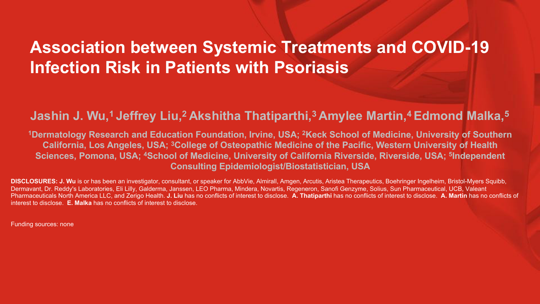### **Association between Systemic Treatments and COVID-19 Infection Risk in Patients with Psoriasis**

### **Jashin J. Wu, 1 Jeffrey Liu, 2 Akshitha Thatiparthi, 3 Amylee Martin, 4 Edmond Malka, 5**

**1Dermatology Research and Education Foundation, Irvine, USA; 2Keck School of Medicine, University of Southern California, Los Angeles, USA; 3College of Osteopathic Medicine of the Pacific, Western University of Health Sciences, Pomona, USA; 4School of Medicine, University of California Riverside, Riverside, USA; 5Independent Consulting Epidemiologist/Biostatistician, USA**

**DISCLOSURES: J. Wu** is or has been an investigator, consultant, or speaker for AbbVie, Almirall, Amgen, Arcutis, Aristea Therapeutics, Boehringer Ingelheim, Bristol-Myers Squibb, Dermavant, Dr. Reddy's Laboratories, Eli Lilly, Galderma, Janssen, LEO Pharma, Mindera, Novartis, Regeneron, Sanofi Genzyme, Solius, Sun Pharmaceutical, UCB, Valeant Pharmaceuticals North America LLC, and Zerigo Health. **J. Liu** has no conflicts of interest to disclose. **A. Thatiparthi** has no conflicts of interest to disclose. **A. Martin** has no conflicts of interest to disclose. **E. Malka** has no conflicts of interest to disclose.

Funding sources: none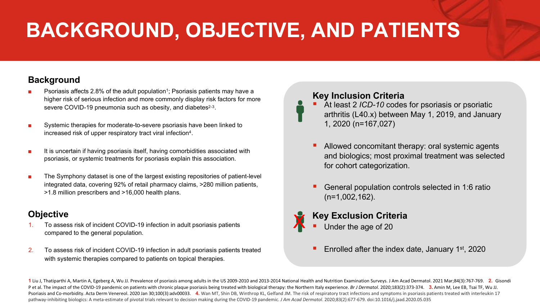# **BACKGROUND, OBJECTIVE, AND PATIENTS**

#### **Background**

- Psoriasis affects 2.8% of the adult population<sup>1</sup>; Psoriasis patients may have a higher risk of serious infection and more commonly display risk factors for more severe COVID-19 pneumonia such as obesity, and diabetes<sup>2-3</sup>.
- Systemic therapies for moderate-to-severe psoriasis have been linked to increased risk of upper respiratory tract viral infection4.
- It is uncertain if having psoriasis itself, having comorbidities associated with psoriasis, or systemic treatments for psoriasis explain this association.
- The Symphony dataset is one of the largest existing repositories of patient-level integrated data, covering 92% of retail pharmacy claims, >280 million patients, >1.8 million prescribers and >16,000 health plans.

### **Objective**

- 1. To assess risk of incident COVID-19 infection in adult psoriasis patients compared to the general population.
- 2. To assess risk of incident COVID-19 infection in adult psoriasis patients treated with systemic therapies compared to patients on topical therapies.

#### **Key Inclusion Criteria**

- § At least 2 *ICD-10* codes for psoriasis or psoriatic arthritis (L40.x) between May 1, 2019, and January 1, 2020 (n=167,027)
- Allowed concomitant therapy: oral systemic agents and biologics; most proximal treatment was selected for cohort categorization.
- § General population controls selected in 1:6 ratio (n=1,002,162).

### **Key Exclusion Criteria** X

- Under the age of 20
- § Enrolled after the index date, January 1st, 2020

1 Liu J, Thatiparthi A, Martin A, Egeberg A, Wu JJ. Prevalence of psoriasis among adults in the US 2009-2010 and 2013-2014 National Health and Nutrition Examination Surveys. J Am Acad Dermatol. 2021 Mar;84(3):767-769. 2. G P et al. The impact of the COVID-19 pandemic on patients with chronic plaque psoriasis being treated with biological therapy: the Northern Italy experience. Br J Dermatol. 2020;183(2):373-374. 3. Amin M, Lee EB, Tsai TF, W Psoriasis and Co-morbidity. Acta Derm Venereol. 2020 Jan 30;100(3):adv00033. 4. Wan MT, Shin DB, Winthrop KL, Gelfand JM. The risk of respiratory tract infections and symptoms in psoriasis patients treated with interleukin pathway-inhibiting biologics: A meta-estimate of pivotal trials relevant to decision making during the COVID-19 pandemic. *J Am Acad Dermatol*. 2020;83(2):677-679. doi:10.1016/j.jaad.2020.05.035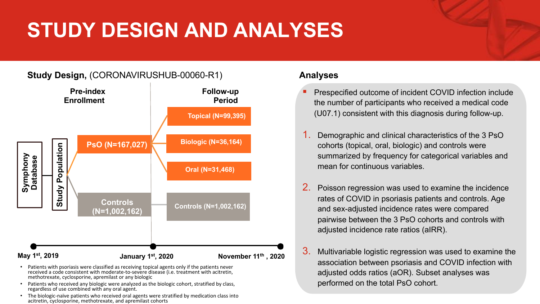# **STUDY DESIGN AND ANALYSES**

### **Study Design,** (CORONAVIRUSHUB-00060-R1)



- Patients with psoriasis were classified as receiving topical agents only if the patients never received a code consistent with moderate-to-severe disease (i.e. treatment with acitretin, methotrexate, cyclosporine, apremilast or any biologic
- Patients who received any biologic were analyzed as the biologic cohort, stratified by class, regardless of use combined with any oral agent.
- The biologic-naïve patients who received oral agents were stratified by medication class into acitretin, cyclosporine, methotrexate, and apremilast cohorts

### **Analyses**

- § Prespecified outcome of incident COVID infection include the number of participants who received a medical code (U07.1) consistent with this diagnosis during follow-up.
- 1. Demographic and clinical characteristics of the 3 PsO cohorts (topical, oral, biologic) and controls were summarized by frequency for categorical variables and mean for continuous variables.
- Poisson regression was used to examine the incidence rates of COVID in psoriasis patients and controls. Age and sex-adjusted incidence rates were compared pairwise between the 3 PsO cohorts and controls with adjusted incidence rate ratios (aIRR).
- 3. Multivariable logistic regression was used to examine the association between psoriasis and COVID infection with adjusted odds ratios (aOR). Subset analyses was performed on the total PsO cohort.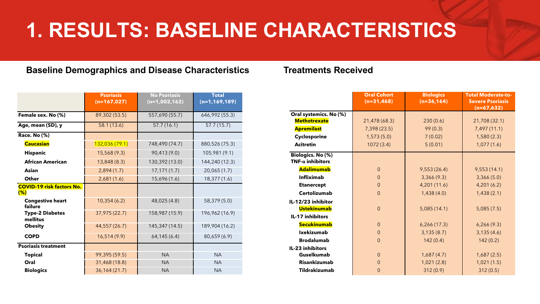### **1. RESULTS: BASELINE CHARACTERISTICS**

#### **Baseline Demographics and Disease Characteristics Treatments Received**

|                                            | <b>Psoriasis</b><br>$(n=167,027)$ | <b>No Psoriasis</b><br>$(n=1,002,162)$ | <b>Total</b><br>$(n=1, 169, 189)$ |
|--------------------------------------------|-----------------------------------|----------------------------------------|-----------------------------------|
| Female sex. No (%)                         | 89,302 (53.5)                     | 557,690 (55.7)                         | 646,992 (55.3)                    |
| Age, mean (SD), y                          | 58.1 (13.6)                       | 57.7(16.1)                             | 57.7(15.7)                        |
| <b>Race. No (%)</b>                        |                                   |                                        |                                   |
| <b>Caucasian</b>                           | 132,036 (79.1)                    | 748,490 (74.7)                         | 880,526 (75.3)                    |
| <b>Hispanic</b>                            | 15,568 (9.3)                      | 90,413 (9.0)                           | 105,981 (9.1)                     |
| <b>African American</b>                    | 13,848 (8.3)                      | 130,392 (13.0)                         | 144,240 (12.3)                    |
| Asian                                      | 2,894(1.7)                        | 17,171(1.7)                            | 20,065 (1.7)                      |
| Other                                      | 2,681(1.6)                        | 15,696 (1.6)                           | 18,377 (1.6)                      |
| <b>COVID-19 risk factors No.</b><br>$(\%)$ |                                   |                                        |                                   |
| <b>Congestive heart</b><br>failure         | 10,354(6.2)                       | 48,025 (4.8)                           | 58,379 (5.0)                      |
| <b>Type-2 Diabetes</b><br>mellitus         | 37,975 (22.7)                     | 158,987 (15.9)                         | 196,962 (16.9)                    |
| <b>Obesity</b>                             | 44,557 (26.7)                     | 145, 347 (14.5)                        | 189,904 (16.2)                    |
| <b>COPD</b>                                | 16,514(9.9)                       | 64,145(6.4)                            | 80,659 (6.9)                      |
| <b>Psoriasis treatment</b>                 |                                   |                                        |                                   |
| <b>Topical</b>                             | 99,395 (59.5)                     | <b>NA</b>                              | <b>NA</b>                         |
| Oral                                       | 31,468 (18.8)                     | <b>NA</b>                              | <b>NA</b>                         |
| <b>Biologics</b>                           | 36,164 (21.7)                     | <b>NA</b>                              | <b>NA</b>                         |

|                                                     | <b>Oral Cohort</b><br>$(n=31,468)$ | <b>Biologics</b><br>$(n=36, 164)$ | <b>Total Moderate-to-</b><br><b>Severe Psoriasis</b><br>$(n=67,632)$ |
|-----------------------------------------------------|------------------------------------|-----------------------------------|----------------------------------------------------------------------|
| Oral systemics. No (%)                              |                                    |                                   |                                                                      |
| <b>Methotrexate</b>                                 | 21,478 (68.3)                      | 230(0.6)                          | 21,708 (32.1)                                                        |
| <b>Apremilast</b>                                   | 7,398 (23.5)                       | 99(0.3)                           | 7,497(11.1)                                                          |
| Cyclosporine                                        | 1,573(5.0)                         | 7(0.02)                           | 1,580(2.3)                                                           |
| <b>Acitretin</b>                                    | 1072(3.4)                          | 5(0.01)                           | 1,077(1.6)                                                           |
| <b>Biologics. No (%)</b><br>$TNF-\alpha$ inhibitors |                                    |                                   |                                                                      |
| <b>Adalimumab</b>                                   | $\overline{0}$                     | 9,553(26.4)                       | 9,553(14.1)                                                          |
| <b>Infliximab</b>                                   | $\overline{0}$                     | 3,366(9.3)                        | 3,366(5.0)                                                           |
| <b>Etanercept</b>                                   | $\theta$                           | 4,201 (11.6)                      | 4,201(6.2)                                                           |
| <b>Certolizumab</b>                                 | $\overline{0}$                     | 1,438(4.0)                        | 1,438(2.1)                                                           |
| IL-12/23 inhibitor                                  |                                    |                                   |                                                                      |
| <b>Ustekinumab</b>                                  | $\overline{0}$                     | 5,085(14.1)                       | 5,085(7.5)                                                           |
| <b>IL-17 inhibitors</b>                             |                                    |                                   |                                                                      |
| <b>Secukinumab</b>                                  | $\overline{0}$                     | 6,266(17.3)                       | 6,266(9.3)                                                           |
| <b>Ixekizumab</b>                                   | $\overline{0}$                     | 3,135(8.7)                        | 3,135(4.6)                                                           |
| <b>Brodalumab</b>                                   | $\Omega$                           | 142(0.4)                          | 142(0.2)                                                             |
| IL-23 inhibitors                                    |                                    |                                   |                                                                      |
| Guselkumab                                          | $\overline{0}$                     | 1,687(4.7)                        | 1,687(2.5)                                                           |
| <b>Risankizumab</b>                                 | $\overline{0}$                     | 1,021(2.8)                        | 1,021(1.5)                                                           |
| <b>Tildrakizumab</b>                                | $\overline{0}$                     | 312(0.9)                          | 312(0.5)                                                             |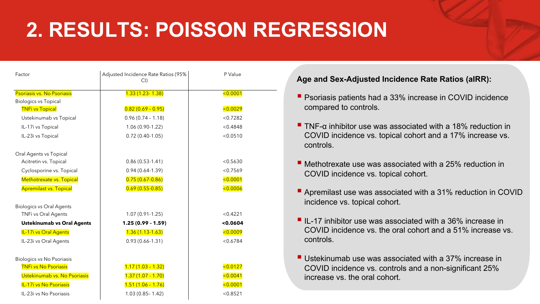# **2. RESULTS: POISSON REGRESSION**

| Factor                            | Adjusted Incidence Rate Ratios (95%<br>CI | P Value  |
|-----------------------------------|-------------------------------------------|----------|
| Psoriasis vs. No Psoriasis        | $1.33(1.23 - 1.38)$                       | < 0.0001 |
| <b>Biologics vs Topical</b>       |                                           |          |
| <b>TNFi vs Topical</b>            | $0.82(0.69 - 0.95)$                       | < 0.0029 |
| Ustekinumab vs Topical            | $0.96(0.74 - 1.18)$                       | < 0.7282 |
| IL-17i vs Topical                 | 1.06 (0.90-1.22)                          | < 0.4848 |
| IL-23i vs Topical                 | $0.72(0.40-1.05)$                         | < 0.0510 |
| Oral Agents vs Topical            |                                           |          |
| Acitretin vs. Topical             | $0.86(0.53-1.41)$                         | < 0.5630 |
| Cyclosporine vs. Topical          | $0.94(0.64-1.39)$                         | < 0.7569 |
| Methotrexate vs. Topical          | $0.75(0.67-0.86)$                         | < 0.0001 |
| <b>Apremilast vs. Topical</b>     | $0.69(0.55-0.85)$                         | < 0.0006 |
| <b>Biologics vs Oral Agents</b>   |                                           |          |
| TNFi vs Oral Agents               | $1.07(0.91-1.25)$                         | < 0.4221 |
| <b>Ustekinumab vs Oral Agents</b> | $1.25(0.99 - 1.59)$                       | 0.0604   |
| IL-17i vs Oral Agents             | $1.36(1.13-1.63)$                         | < 0.0009 |
| IL-23i vs Oral Agents             | $0.93(0.66 - 1.31)$                       | < 0.6784 |
| <b>Biologics vs No Psoriasis</b>  |                                           |          |
| <b>TNFi vs No Psoriasis</b>       | $1.17(1.03 - 1.32)$                       | < 0.0127 |
| Ustekinumab vs. No Psoriasis      | $1.37(1.07 - 1.70)$                       | < 0.0041 |
| IL-17i vs No Psoriasis            | $1.51(1.06 - 1.76)$                       | < 0.0001 |
| IL-23i vs No Psoriasis            | $1.03(0.85 - 1.42)$                       | < 0.8521 |

#### **Age and Sex-Adjusted Incidence Rate Ratios (aIRR):**

- Psoriasis patients had a 33% increase in COVID incidence compared to controls.
- **THE-a inhibitor use was associated with a 18% reduction in** COVID incidence vs. topical cohort and a 17% increase vs. controls.
- Methotrexate use was associated with a 25% reduction in COVID incidence vs. topical cohort.
- Apremilast use was associated with a 31% reduction in COVID incidence vs. topical cohort.
- IL-17 inhibitor use was associated with a 36% increase in COVID incidence vs. the oral cohort and a 51% increase vs. controls.
- Ustekinumab use was associated with a 37% increase in COVID incidence vs. controls and a non-significant 25% increase vs. the oral cohort.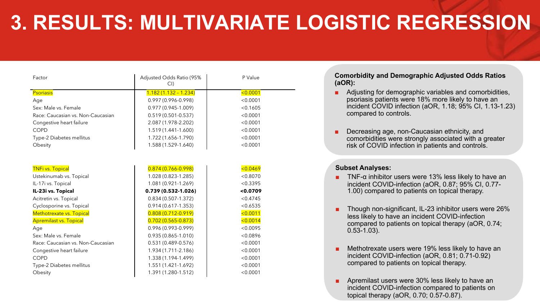## **3. RESULTS: MULTIVARIATE LOGISTIC REGRESSION**

| Factor                            | Adjusted Odds Ratio (95%<br>CI | P Value  |
|-----------------------------------|--------------------------------|----------|
| <b>Psoriasis</b>                  | $1.182(1.132 - 1.234)$         | < 0.0001 |
| Age                               | 0.997 (0.996-0.998)            | < 0.0001 |
| Sex: Male vs. Female              | $0.977(0.945 - 1.009)$         | < 0.1605 |
| Race: Caucasian vs. Non-Caucasian | $0.519(0.501 - 0.537)$         | < 0.0001 |
| Congestive heart failure          | 2.087 (1.978-2.202)            | < 0.0001 |
| <b>COPD</b>                       | 1.519 (1.441-1.600)            | < 0.0001 |
| Type-2 Diabetes mellitus          | 1.722 (1.656-1.790)            | < 0.0001 |
| Obesity                           | 1.588 (1.529-1.640)            | < 0.0001 |
|                                   |                                |          |
|                                   |                                |          |
| <b>TNFi vs. Topical</b>           | $0.874(0.766 - 0.998)$         | < 0.0469 |
| Ustekinumab vs. Topical           | 1.028 (0.823-1.285)            | < 0.8070 |
| IL-17i vs. Topical                | 1.081 (0.921-1.269)            | < 0.3395 |
| IL-23i vs. Topical                | $0.739(0.532 - 1.026)$         | < 0.0709 |
| Acitretin vs. Topical             | $0.834(0.507 - 1.372)$         | < 0.4745 |
| Cyclosporine vs. Topical          | $0.914(0.617 - 1.353)$         | < 0.6535 |
| Methotrexate vs. Topical          | $0.808(0.712 - 0.919)$         | < 0.0011 |
| <b>Apremilast vs. Topical</b>     | $0.702(0.565 - 0.873)$         | < 0.0014 |
| Age                               | $0.996(0.993 - 0.999)$         | < 0.0095 |
| Sex: Male vs. Female              | $0.935(0.865 - 1.010)$         | < 0.0896 |
| Race: Caucasian vs. Non-Caucasian | $0.531(0.489 - 0.576)$         | < 0.0001 |
| Congestive heart failure          | 1.934 (1.711-2.186)            | < 0.0001 |
| COPD                              | 1.338 (1.194-1.499)            | < 0.0001 |
| Type-2 Diabetes mellitus          | 1.551 (1.421-1.692)            | < 0.0001 |
| Obesity                           | 1.391 (1.280-1.512)            | < 0.0001 |

**Comorbidity and Demographic Adjusted Odds Ratios (aOR):**

- Adjusting for demographic variables and comorbidities, psoriasis patients were 18% more likely to have an incident COVID infection (aOR, 1.18; 95% CI, 1.13-1.23) compared to controls.
- Decreasing age, non-Caucasian ethnicity, and comorbidities were strongly associated with a greater risk of COVID infection in patients and controls.

#### **Subset Analyses:**

- TNF- $\alpha$  inhibitor users were 13% less likely to have an incident COVID-infection (aOR, 0.87; 95% CI, 0.77- 1.00) compared to patients on topical therapy.
- Though non-significant, IL-23 inhibitor users were 26% less likely to have an incident COVID-infection compared to patients on topical therapy (aOR, 0.74; 0.53-1.03).
- Methotrexate users were 19% less likely to have an incident COVID-infection (aOR, 0.81; 0.71-0.92) compared to patients on topical therapy.
- Apremilast users were 30% less likely to have an incident COVID-infection compared to patients on topical therapy (aOR, 0.70; 0.57-0.87).